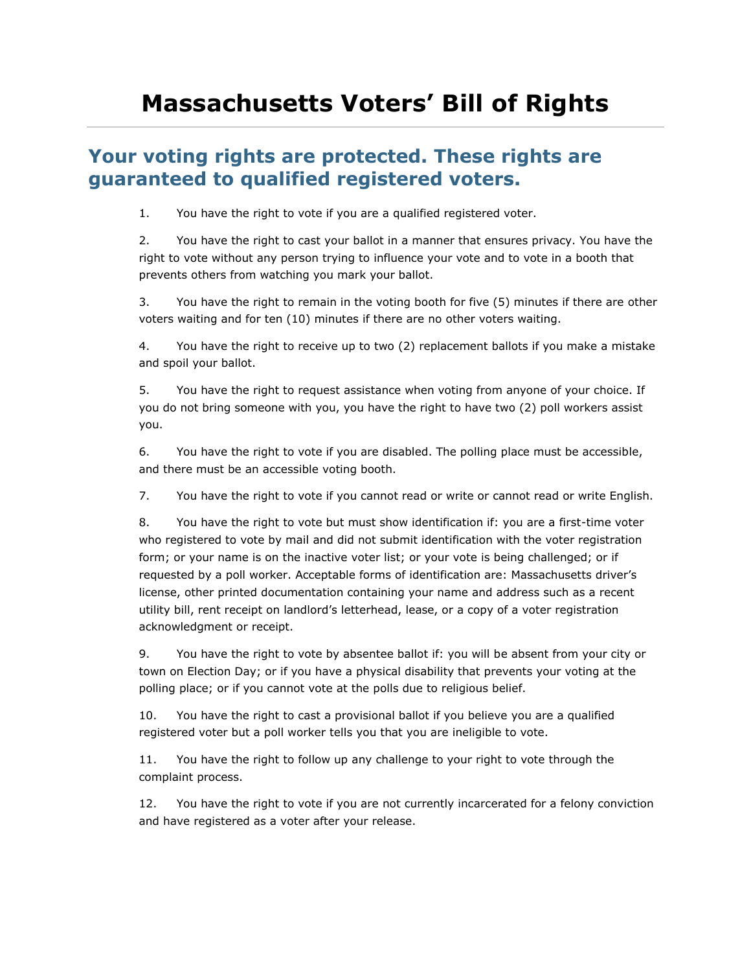## **Massachusetts Voters' Bill of Rights**

## **Your voting rights are protected. These rights are guaranteed to qualified registered voters.**

1. You have the right to vote if you are a qualified registered voter.

2. You have the right to cast your ballot in a manner that ensures privacy. You have the right to vote without any person trying to influence your vote and to vote in a booth that prevents others from watching you mark your ballot.

3. You have the right to remain in the voting booth for five (5) minutes if there are other voters waiting and for ten (10) minutes if there are no other voters waiting.

4. You have the right to receive up to two (2) replacement ballots if you make a mistake and spoil your ballot.

5. You have the right to request assistance when voting from anyone of your choice. If you do not bring someone with you, you have the right to have two (2) poll workers assist you.

6. You have the right to vote if you are disabled. The polling place must be accessible, and there must be an accessible voting booth.

7. You have the right to vote if you cannot read or write or cannot read or write English.

8. You have the right to vote but must show identification if: you are a first-time voter who registered to vote by mail and did not submit identification with the voter registration form; or your name is on the inactive voter list; or your vote is being challenged; or if requested by a poll worker. Acceptable forms of identification are: Massachusetts driver's license, other printed documentation containing your name and address such as a recent utility bill, rent receipt on landlord's letterhead, lease, or a copy of a voter registration acknowledgment or receipt.

9. You have the right to vote by absentee ballot if: you will be absent from your city or town on Election Day; or if you have a physical disability that prevents your voting at the polling place; or if you cannot vote at the polls due to religious belief.

10. You have the right to cast a provisional ballot if you believe you are a qualified registered voter but a poll worker tells you that you are ineligible to vote.

11. You have the right to follow up any challenge to your right to vote through the complaint process.

12. You have the right to vote if you are not currently incarcerated for a felony conviction and have registered as a voter after your release.